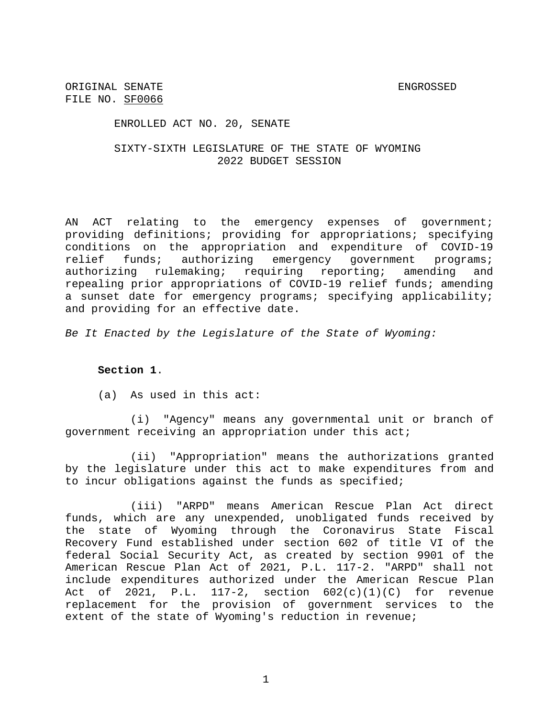ENROLLED ACT NO. 20, SENATE

### SIXTY-SIXTH LEGISLATURE OF THE STATE OF WYOMING 2022 BUDGET SESSION

AN ACT relating to the emergency expenses of government; providing definitions; providing for appropriations; specifying conditions on the appropriation and expenditure of COVID-19 relief funds; authorizing emergency government programs; authorizing rulemaking; requiring reporting; amending and repealing prior appropriations of COVID-19 relief funds; amending a sunset date for emergency programs; specifying applicability; and providing for an effective date.

*Be It Enacted by the Legislature of the State of Wyoming:*

### **Section 1**.

(a) As used in this act:

(i) "Agency" means any governmental unit or branch of government receiving an appropriation under this act;

(ii) "Appropriation" means the authorizations granted by the legislature under this act to make expenditures from and to incur obligations against the funds as specified;

(iii) "ARPD" means American Rescue Plan Act direct funds, which are any unexpended, unobligated funds received by the state of Wyoming through the Coronavirus State Fiscal Recovery Fund established under section 602 of title VI of the federal Social Security Act, as created by section 9901 of the American Rescue Plan Act of 2021, P.L. 117-2. "ARPD" shall not include expenditures authorized under the American Rescue Plan Act of 2021, P.L. 117-2, section  $602(c)(1)(C)$  for revenue replacement for the provision of government services to the extent of the state of Wyoming's reduction in revenue;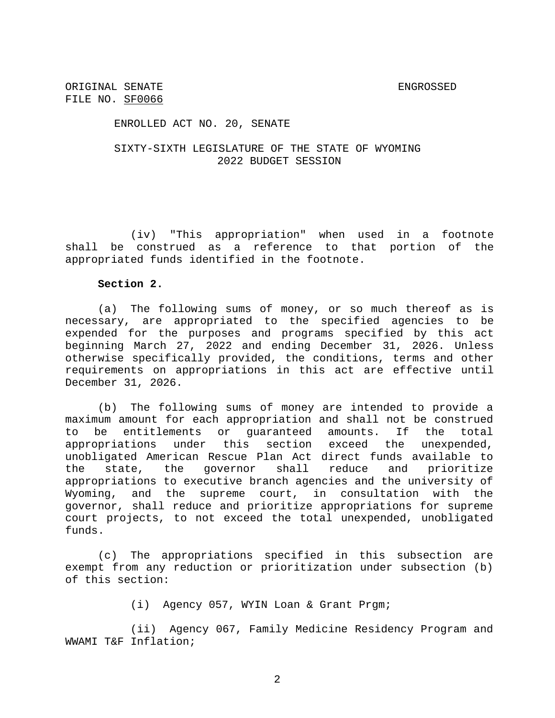ENROLLED ACT NO. 20, SENATE

## SIXTY-SIXTH LEGISLATURE OF THE STATE OF WYOMING 2022 BUDGET SESSION

(iv) "This appropriation" when used in a footnote shall be construed as a reference to that portion of the appropriated funds identified in the footnote.

### **Section 2.**

(a) The following sums of money, or so much thereof as is necessary, are appropriated to the specified agencies to be expended for the purposes and programs specified by this act beginning March 27, 2022 and ending December 31, 2026. Unless otherwise specifically provided, the conditions, terms and other requirements on appropriations in this act are effective until December 31, 2026.

(b) The following sums of money are intended to provide a maximum amount for each appropriation and shall not be construed to be entitlements or guaranteed amounts. If the total appropriations under this section exceed the unexpended, unobligated American Rescue Plan Act direct funds available to the state, the governor shall reduce and prioritize appropriations to executive branch agencies and the university of Wyoming, and the supreme court, in consultation with the governor, shall reduce and prioritize appropriations for supreme court projects, to not exceed the total unexpended, unobligated funds.

(c) The appropriations specified in this subsection are exempt from any reduction or prioritization under subsection (b) of this section:

(i) Agency 057, WYIN Loan & Grant Prgm;

(ii) Agency 067, Family Medicine Residency Program and WWAMI T&F Inflation;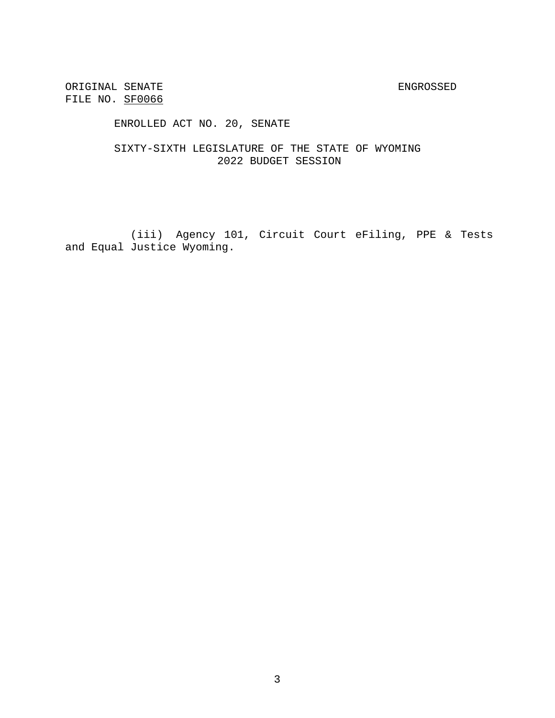ENROLLED ACT NO. 20, SENATE

SIXTY-SIXTH LEGISLATURE OF THE STATE OF WYOMING 2022 BUDGET SESSION

(iii) Agency 101, Circuit Court eFiling, PPE & Tests and Equal Justice Wyoming.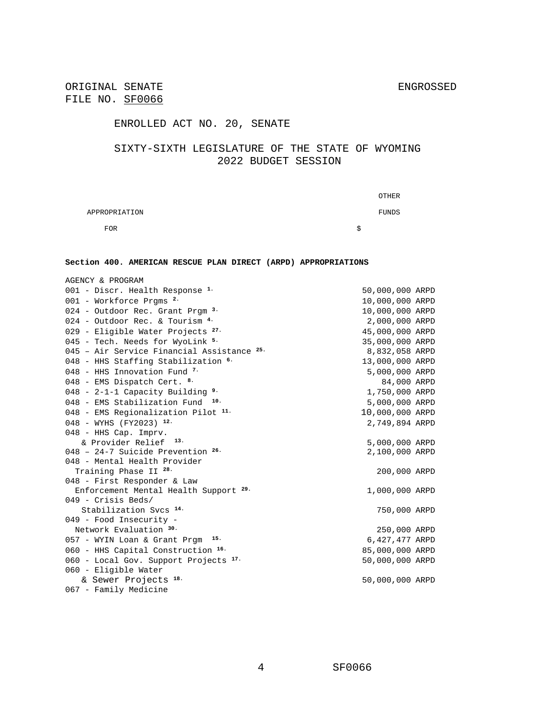ORIGINAL SENATE SENATE SENGROSSED ENGROSSED FILE NO. SF0066

# ENROLLED ACT NO. 20, SENATE

## SIXTY-SIXTH LEGISLATURE OF THE STATE OF WYOMING 2022 BUDGET SESSION

|               |   | <b>OTHER</b> |
|---------------|---|--------------|
| APPROPRIATION |   | FUNDS        |
| <b>FOR</b>    | S |              |

#### **Section 400. AMERICAN RESCUE PLAN DIRECT (ARPD) APPROPRIATIONS**

| AGENCY & PROGRAM                                      |                 |  |
|-------------------------------------------------------|-----------------|--|
| 001 - Discr. Health Response <sup>1.</sup>            | 50,000,000 ARPD |  |
| 001 - Workforce Prgms <sup>2.</sup>                   | 10,000,000 ARPD |  |
| 024 - Outdoor Rec. Grant Prgm <sup>3.</sup>           | 10,000,000 ARPD |  |
| 024 - Outdoor Rec. & Tourism 4.                       | 2,000,000 ARPD  |  |
| 029 - Eligible Water Projects <sup>27.</sup>          | 45,000,000 ARPD |  |
| 045 - Tech. Needs for WyoLink 5.                      | 35,000,000 ARPD |  |
| 045 - Air Service Financial Assistance <sup>25.</sup> | 8,832,058 ARPD  |  |
| 048 - HHS Staffing Stabilization 6.                   | 13,000,000 ARPD |  |
| 048 - HHS Innovation Fund $7$                         | 5,000,000 ARPD  |  |
| 048 - EMS Dispatch Cert. 8.                           | 84,000 ARPD     |  |
| 048 - 2-1-1 Capacity Building $9.$                    | 1,750,000 ARPD  |  |
| 048 - EMS Stabilization Fund $10-$                    | 5,000,000 ARPD  |  |
| $048$ - EMS Regionalization Pilot $11$ .              | 10,000,000 ARPD |  |
| 048 - WYHS (FY2023) 12.                               | 2,749,894 ARPD  |  |
| 048 - HHS Cap. Imprv.                                 |                 |  |
| & Provider Relief <sup>13.</sup>                      | 5,000,000 ARPD  |  |
| $048$ - 24-7 Suicide Prevention $26$ .                | 2,100,000 ARPD  |  |
| 048 - Mental Health Provider                          |                 |  |
| Training Phase II <sup>28.</sup>                      | 200,000 ARPD    |  |
| 048 - First Responder & Law                           |                 |  |
| Enforcement Mental Health Support <sup>29.</sup>      | 1,000,000 ARPD  |  |
| 049 - Crisis Beds/                                    |                 |  |
| Stabilization Svcs <sup>14.</sup>                     | 750,000 ARPD    |  |
| 049 - Food Insecurity -                               |                 |  |
| Network Evaluation 30.                                | 250,000 ARPD    |  |
| 057 - WYIN Loan & Grant Prgm 15.                      | 6,427,477 ARPD  |  |
| 060 - HHS Capital Construction 16.                    | 85,000,000 ARPD |  |
| 060 - Local Gov. Support Projects <sup>17.</sup>      | 50,000,000 ARPD |  |
| 060 - Eligible Water                                  |                 |  |
| & Sewer Projects 18.                                  | 50,000,000 ARPD |  |
| 067 - Family Medicine                                 |                 |  |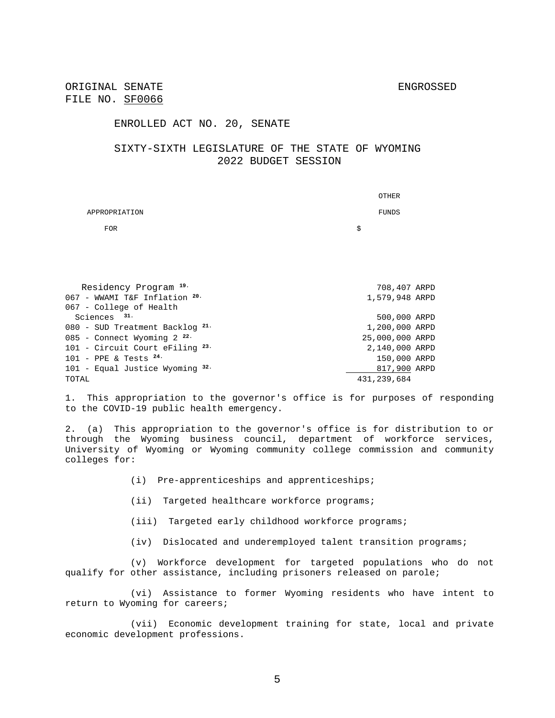#### ENROLLED ACT NO. 20, SENATE

### SIXTY-SIXTH LEGISLATURE OF THE STATE OF WYOMING 2022 BUDGET SESSION

|                                            | OTHER           |
|--------------------------------------------|-----------------|
| APPROPRIATION                              | FUNDS           |
| <b>FOR</b>                                 | \$              |
|                                            |                 |
|                                            |                 |
|                                            |                 |
| Residency Program 19.                      | 708,407 ARPD    |
| 067 - WWAMI T&F Inflation 20.              | 1,579,948 ARPD  |
| 067 - College of Health                    |                 |
| Sciences $31.$                             | 500,000 ARPD    |
| 080 - SUD Treatment Backlog 21.            | 1,200,000 ARPD  |
| 085 - Connect Wyoming $2^{22}$             | 25,000,000 ARPD |
| 101 - Circuit Court eFiling <sup>23.</sup> | 2,140,000 ARPD  |
| $101$ - PPE & Tests $24$ .                 | 150,000 ARPD    |
| 101 - Equal Justice Wyoming $32.$          | 817,900 ARPD    |
| TOTAL                                      | 431,239,684     |

1. This appropriation to the governor's office is for purposes of responding to the COVID-19 public health emergency.

2. (a) This appropriation to the governor's office is for distribution to or through the Wyoming business council, department of workforce services, University of Wyoming or Wyoming community college commission and community colleges for:

- (i) Pre-apprenticeships and apprenticeships;
- (ii) Targeted healthcare workforce programs;
- (iii) Targeted early childhood workforce programs;
- (iv) Dislocated and underemployed talent transition programs;

(v) Workforce development for targeted populations who do not qualify for other assistance, including prisoners released on parole;

(vi) Assistance to former Wyoming residents who have intent to return to Wyoming for careers;

(vii) Economic development training for state, local and private economic development professions.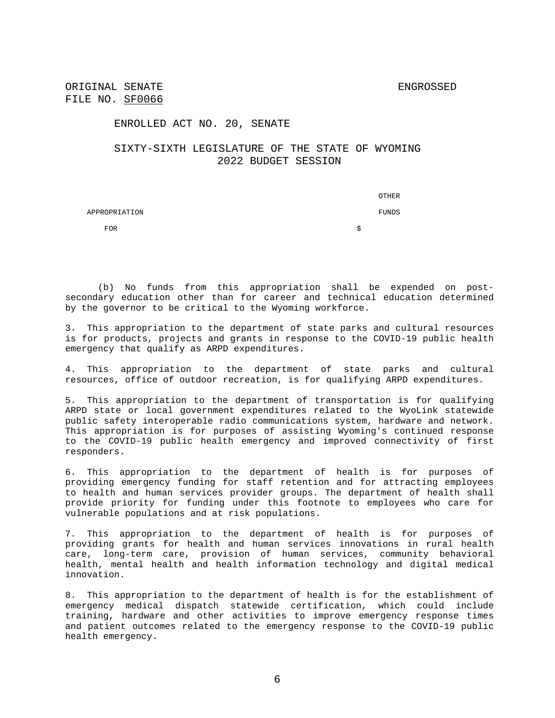ENROLLED ACT NO. 20, SENATE

### SIXTY-SIXTH LEGISLATURE OF THE STATE OF WYOMING 2022 BUDGET SESSION

|               |   | OTHER |
|---------------|---|-------|
| APPROPRIATION |   | FUNDS |
| <b>FOR</b>    | S |       |

(b) No funds from this appropriation shall be expended on postsecondary education other than for career and technical education determined by the governor to be critical to the Wyoming workforce.

3. This appropriation to the department of state parks and cultural resources is for products, projects and grants in response to the COVID-19 public health emergency that qualify as ARPD expenditures.

4. This appropriation to the department of state parks and cultural resources, office of outdoor recreation, is for qualifying ARPD expenditures.

5. This appropriation to the department of transportation is for qualifying ARPD state or local government expenditures related to the WyoLink statewide public safety interoperable radio communications system, hardware and network. This appropriation is for purposes of assisting Wyoming's continued response to the COVID-19 public health emergency and improved connectivity of first responders.

6. This appropriation to the department of health is for purposes of providing emergency funding for staff retention and for attracting employees to health and human services provider groups. The department of health shall provide priority for funding under this footnote to employees who care for vulnerable populations and at risk populations.

7. This appropriation to the department of health is for purposes of providing grants for health and human services innovations in rural health care, long-term care, provision of human services, community behavioral health, mental health and health information technology and digital medical innovation.

8. This appropriation to the department of health is for the establishment of emergency medical dispatch statewide certification, which could include training, hardware and other activities to improve emergency response times and patient outcomes related to the emergency response to the COVID-19 public health emergency.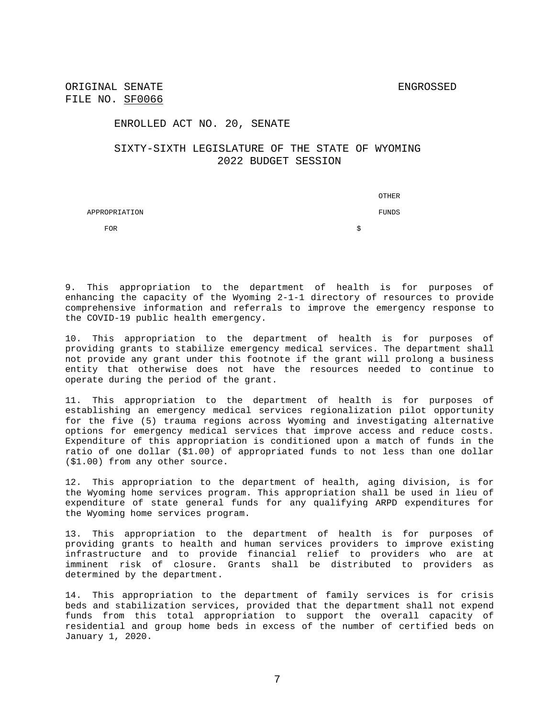ENROLLED ACT NO. 20, SENATE

# SIXTY-SIXTH LEGISLATURE OF THE STATE OF WYOMING 2022 BUDGET SESSION

|               | OTHER |
|---------------|-------|
| APPROPRIATION | FUNDS |
| <b>FOR</b>    | Ŝ     |

9. This appropriation to the department of health is for purposes of enhancing the capacity of the Wyoming 2-1-1 directory of resources to provide comprehensive information and referrals to improve the emergency response to the COVID-19 public health emergency.

10. This appropriation to the department of health is for purposes of providing grants to stabilize emergency medical services. The department shall not provide any grant under this footnote if the grant will prolong a business entity that otherwise does not have the resources needed to continue to operate during the period of the grant.

11. This appropriation to the department of health is for purposes of establishing an emergency medical services regionalization pilot opportunity for the five (5) trauma regions across Wyoming and investigating alternative options for emergency medical services that improve access and reduce costs. Expenditure of this appropriation is conditioned upon a match of funds in the ratio of one dollar (\$1.00) of appropriated funds to not less than one dollar (\$1.00) from any other source.

12. This appropriation to the department of health, aging division, is for the Wyoming home services program. This appropriation shall be used in lieu of expenditure of state general funds for any qualifying ARPD expenditures for the Wyoming home services program.

13. This appropriation to the department of health is for purposes of providing grants to health and human services providers to improve existing infrastructure and to provide financial relief to providers who are at imminent risk of closure. Grants shall be distributed to providers as determined by the department.

14. This appropriation to the department of family services is for crisis beds and stabilization services, provided that the department shall not expend funds from this total appropriation to support the overall capacity of residential and group home beds in excess of the number of certified beds on January 1, 2020.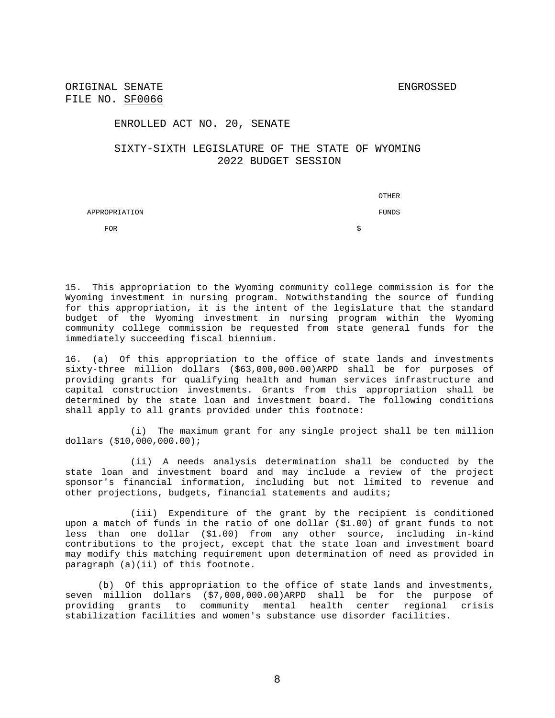ORIGINAL SENATE SENATE FILE NO. SF0066

#### ENROLLED ACT NO. 20, SENATE

# SIXTY-SIXTH LEGISLATURE OF THE STATE OF WYOMING 2022 BUDGET SESSION

|               | OTHER |
|---------------|-------|
| APPROPRIATION | FUNDS |
| <b>FOR</b>    |       |

15. This appropriation to the Wyoming community college commission is for the Wyoming investment in nursing program. Notwithstanding the source of funding for this appropriation, it is the intent of the legislature that the standard budget of the Wyoming investment in nursing program within the Wyoming community college commission be requested from state general funds for the immediately succeeding fiscal biennium.

16. (a) Of this appropriation to the office of state lands and investments sixty-three million dollars (\$63,000,000.00)ARPD shall be for purposes of providing grants for qualifying health and human services infrastructure and capital construction investments. Grants from this appropriation shall be determined by the state loan and investment board. The following conditions shall apply to all grants provided under this footnote:

(i) The maximum grant for any single project shall be ten million dollars (\$10,000,000.00);

(ii) A needs analysis determination shall be conducted by the state loan and investment board and may include a review of the project sponsor's financial information, including but not limited to revenue and other projections, budgets, financial statements and audits;

(iii) Expenditure of the grant by the recipient is conditioned upon a match of funds in the ratio of one dollar (\$1.00) of grant funds to not less than one dollar (\$1.00) from any other source, including in-kind contributions to the project, except that the state loan and investment board may modify this matching requirement upon determination of need as provided in paragraph (a)(ii) of this footnote.

(b) Of this appropriation to the office of state lands and investments, seven million dollars (\$7,000,000.00)ARPD shall be for the purpose of providing grants to community mental health center regional crisis stabilization facilities and women's substance use disorder facilities.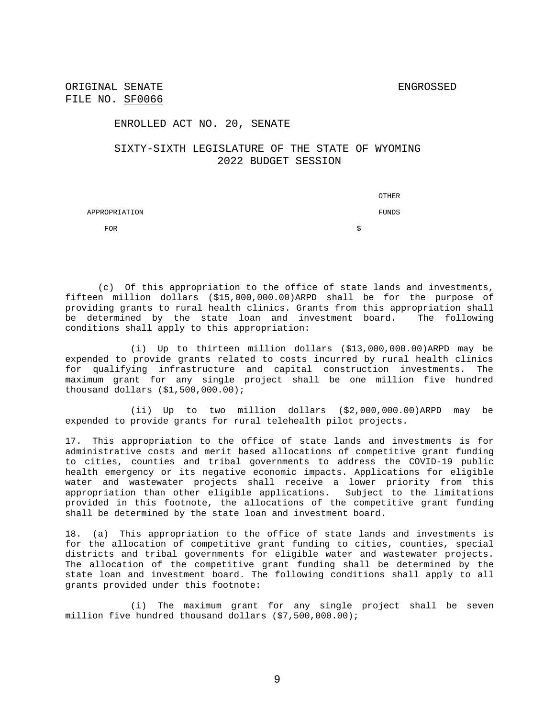ENROLLED ACT NO. 20, SENATE

# SIXTY-SIXTH LEGISLATURE OF THE STATE OF WYOMING 2022 BUDGET SESSION

|               |   | THER  |
|---------------|---|-------|
| APPROPRIATION |   | FUNDS |
| <b>FOR</b>    | S |       |

(c) Of this appropriation to the office of state lands and investments, fifteen million dollars (\$15,000,000.00)ARPD shall be for the purpose of providing grants to rural health clinics. Grants from this appropriation shall be determined by the state loan and investment board. The following conditions shall apply to this appropriation:

(i) Up to thirteen million dollars (\$13,000,000.00)ARPD may be expended to provide grants related to costs incurred by rural health clinics for qualifying infrastructure and capital construction investments. The maximum grant for any single project shall be one million five hundred thousand dollars (\$1,500,000.00);

(ii) Up to two million dollars (\$2,000,000.00)ARPD may be expended to provide grants for rural telehealth pilot projects.

17. This appropriation to the office of state lands and investments is for administrative costs and merit based allocations of competitive grant funding to cities, counties and tribal governments to address the COVID-19 public health emergency or its negative economic impacts. Applications for eligible water and wastewater projects shall receive a lower priority from this appropriation than other eligible applications. Subject to the limitations provided in this footnote, the allocations of the competitive grant funding shall be determined by the state loan and investment board.

18. (a) This appropriation to the office of state lands and investments is for the allocation of competitive grant funding to cities, counties, special districts and tribal governments for eligible water and wastewater projects. The allocation of the competitive grant funding shall be determined by the state loan and investment board. The following conditions shall apply to all grants provided under this footnote:

(i) The maximum grant for any single project shall be seven million five hundred thousand dollars (\$7,500,000.00);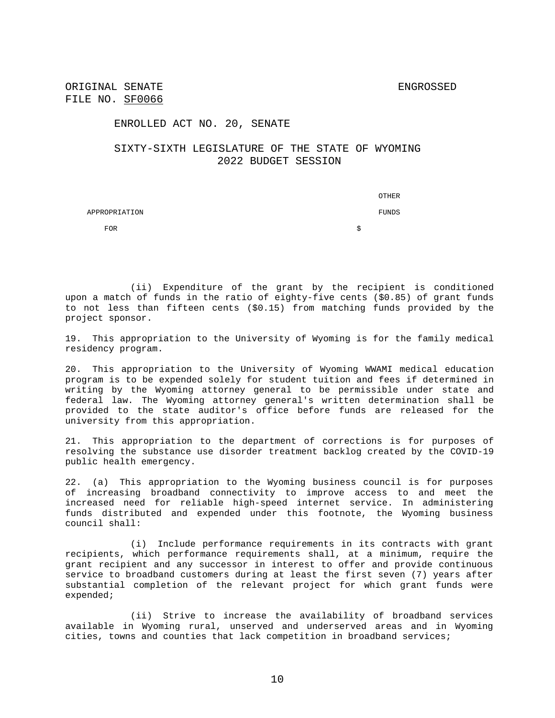#### ENROLLED ACT NO. 20, SENATE

### SIXTY-SIXTH LEGISLATURE OF THE STATE OF WYOMING 2022 BUDGET SESSION

|               | OTHER |
|---------------|-------|
| APPROPRIATION | FUNDS |
| <b>FOR</b>    | S     |

(ii) Expenditure of the grant by the recipient is conditioned upon a match of funds in the ratio of eighty-five cents (\$0.85) of grant funds to not less than fifteen cents (\$0.15) from matching funds provided by the project sponsor.

19. This appropriation to the University of Wyoming is for the family medical residency program.

20. This appropriation to the University of Wyoming WWAMI medical education program is to be expended solely for student tuition and fees if determined in writing by the Wyoming attorney general to be permissible under state and federal law. The Wyoming attorney general's written determination shall be provided to the state auditor's office before funds are released for the university from this appropriation.

21. This appropriation to the department of corrections is for purposes of resolving the substance use disorder treatment backlog created by the COVID-19 public health emergency.

22. (a) This appropriation to the Wyoming business council is for purposes of increasing broadband connectivity to improve access to and meet the increased need for reliable high-speed internet service. In administering funds distributed and expended under this footnote, the Wyoming business council shall:

(i) Include performance requirements in its contracts with grant recipients, which performance requirements shall, at a minimum, require the grant recipient and any successor in interest to offer and provide continuous service to broadband customers during at least the first seven (7) years after substantial completion of the relevant project for which grant funds were expended;

(ii) Strive to increase the availability of broadband services available in Wyoming rural, unserved and underserved areas and in Wyoming cities, towns and counties that lack competition in broadband services;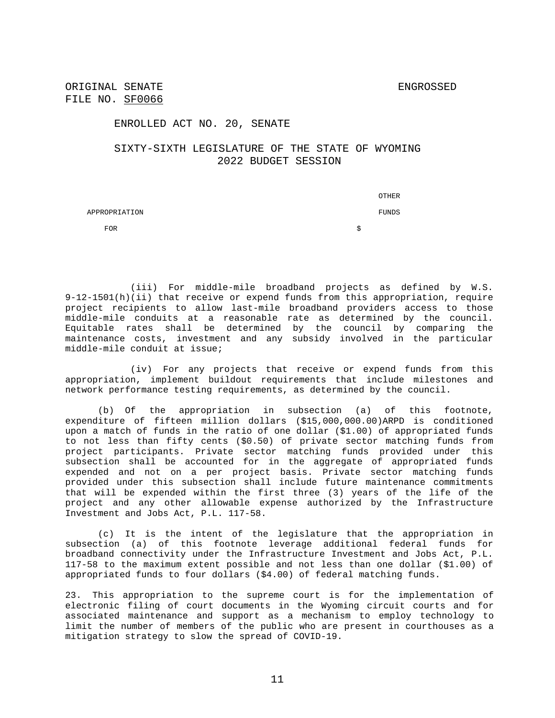ENROLLED ACT NO. 20, SENATE

### SIXTY-SIXTH LEGISLATURE OF THE STATE OF WYOMING 2022 BUDGET SESSION

 OTHER APPROPRIATION FUNDS  $\mathsf{FOR}$  by the set of the set of the set of the set of the set of the set of the set of the set of the set of the set of the set of the set of the set of the set of the set of the set of the set of the set of the set of

(iii) For middle-mile broadband projects as defined by W.S. 9-12-1501(h)(ii) that receive or expend funds from this appropriation, require project recipients to allow last-mile broadband providers access to those middle-mile conduits at a reasonable rate as determined by the council. Equitable rates shall be determined by the council by comparing the maintenance costs, investment and any subsidy involved in the particular middle-mile conduit at issue;

(iv) For any projects that receive or expend funds from this appropriation, implement buildout requirements that include milestones and network performance testing requirements, as determined by the council.

(b) Of the appropriation in subsection (a) of this footnote, expenditure of fifteen million dollars (\$15,000,000.00)ARPD is conditioned upon a match of funds in the ratio of one dollar (\$1.00) of appropriated funds to not less than fifty cents (\$0.50) of private sector matching funds from project participants. Private sector matching funds provided under this subsection shall be accounted for in the aggregate of appropriated funds expended and not on a per project basis. Private sector matching funds provided under this subsection shall include future maintenance commitments that will be expended within the first three (3) years of the life of the project and any other allowable expense authorized by the Infrastructure Investment and Jobs Act, P.L. 117-58.

(c) It is the intent of the legislature that the appropriation in subsection (a) of this footnote leverage additional federal funds for broadband connectivity under the Infrastructure Investment and Jobs Act, P.L. 117-58 to the maximum extent possible and not less than one dollar (\$1.00) of appropriated funds to four dollars (\$4.00) of federal matching funds.

23. This appropriation to the supreme court is for the implementation of electronic filing of court documents in the Wyoming circuit courts and for associated maintenance and support as a mechanism to employ technology to limit the number of members of the public who are present in courthouses as a mitigation strategy to slow the spread of COVID-19.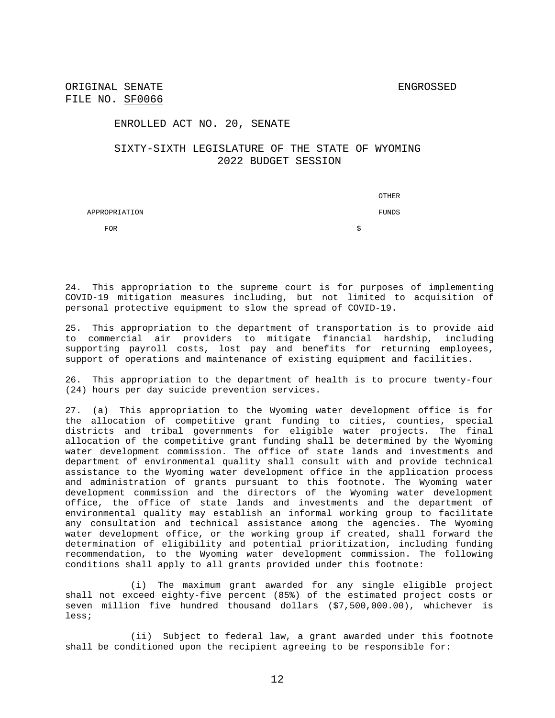ENROLLED ACT NO. 20, SENATE

### SIXTY-SIXTH LEGISLATURE OF THE STATE OF WYOMING 2022 BUDGET SESSION

 OTHER APPROPRIATION FUNDS  $\mathsf{FOR}$  by the set of the set of the set of the set of the set of the set of the set of the set of the set of the set of the set of the set of the set of the set of the set of the set of the set of the set of the set of

24. This appropriation to the supreme court is for purposes of implementing COVID-19 mitigation measures including, but not limited to acquisition of personal protective equipment to slow the spread of COVID-19.

25. This appropriation to the department of transportation is to provide aid to commercial air providers to mitigate financial hardship, including supporting payroll costs, lost pay and benefits for returning employees, support of operations and maintenance of existing equipment and facilities.

26. This appropriation to the department of health is to procure twenty-four (24) hours per day suicide prevention services.

27. (a) This appropriation to the Wyoming water development office is for the allocation of competitive grant funding to cities, counties, special districts and tribal governments for eligible water projects. The final allocation of the competitive grant funding shall be determined by the Wyoming water development commission. The office of state lands and investments and department of environmental quality shall consult with and provide technical assistance to the Wyoming water development office in the application process and administration of grants pursuant to this footnote. The Wyoming water development commission and the directors of the Wyoming water development office, the office of state lands and investments and the department of environmental quality may establish an informal working group to facilitate any consultation and technical assistance among the agencies. The Wyoming water development office, or the working group if created, shall forward the determination of eligibility and potential prioritization, including funding recommendation, to the Wyoming water development commission. The following conditions shall apply to all grants provided under this footnote:

(i) The maximum grant awarded for any single eligible project shall not exceed eighty-five percent (85%) of the estimated project costs or seven million five hundred thousand dollars (\$7,500,000.00), whichever is less;

(ii) Subject to federal law, a grant awarded under this footnote shall be conditioned upon the recipient agreeing to be responsible for: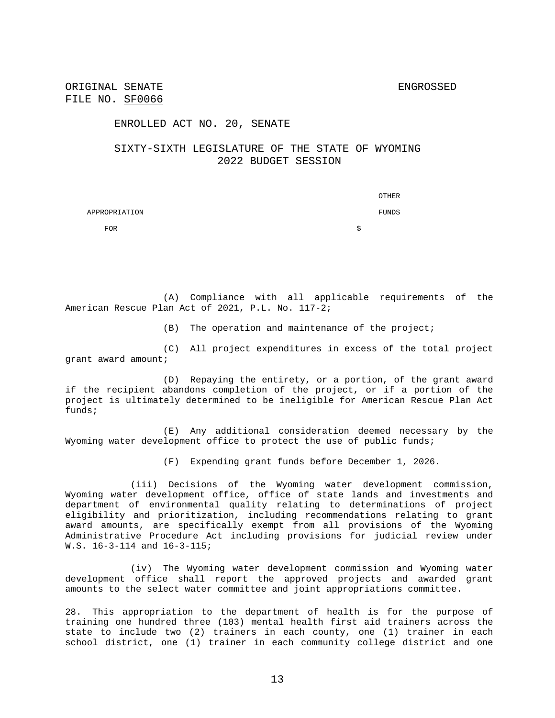#### ENROLLED ACT NO. 20, SENATE

# SIXTY-SIXTH LEGISLATURE OF THE STATE OF WYOMING 2022 BUDGET SESSION

|               | OTHER |
|---------------|-------|
| APPROPRIATION | FUNDS |
| <b>FOR</b>    | S     |

(A) Compliance with all applicable requirements of the American Rescue Plan Act of 2021, P.L. No. 117-2;

(B) The operation and maintenance of the project;

(C) All project expenditures in excess of the total project grant award amount;

(D) Repaying the entirety, or a portion, of the grant award if the recipient abandons completion of the project, or if a portion of the project is ultimately determined to be ineligible for American Rescue Plan Act funds;

(E) Any additional consideration deemed necessary by the Wyoming water development office to protect the use of public funds;

(F) Expending grant funds before December 1, 2026.

(iii) Decisions of the Wyoming water development commission, Wyoming water development office, office of state lands and investments and department of environmental quality relating to determinations of project eligibility and prioritization, including recommendations relating to grant award amounts, are specifically exempt from all provisions of the Wyoming Administrative Procedure Act including provisions for judicial review under W.S. 16-3-114 and 16-3-115;

(iv) The Wyoming water development commission and Wyoming water development office shall report the approved projects and awarded grant amounts to the select water committee and joint appropriations committee.

28. This appropriation to the department of health is for the purpose of training one hundred three (103) mental health first aid trainers across the state to include two (2) trainers in each county, one (1) trainer in each school district, one (1) trainer in each community college district and one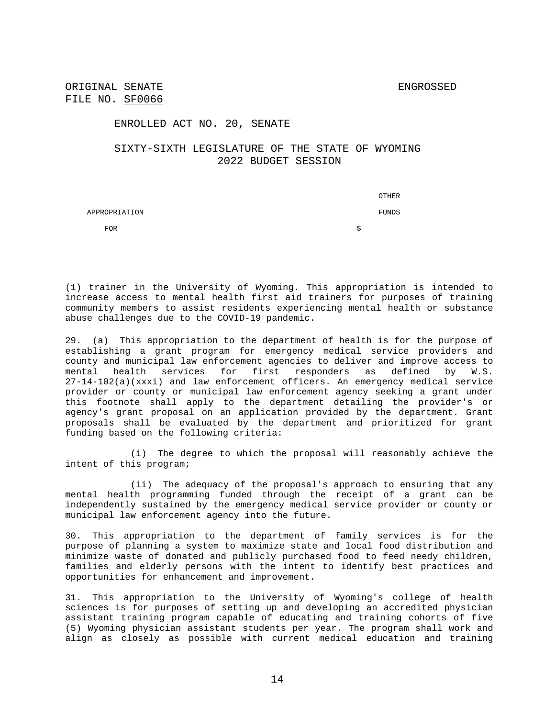ORIGINAL SENATE SENATE FILE NO. SF0066

#### ENROLLED ACT NO. 20, SENATE

### SIXTY-SIXTH LEGISLATURE OF THE STATE OF WYOMING 2022 BUDGET SESSION

 OTHER APPROPRIATION FUNDS  $\mathsf{FOR}$  by the set of the set of the set of the set of the set of the set of the set of the set of the set of the set of the set of the set of the set of the set of the set of the set of the set of the set of the set of

(1) trainer in the University of Wyoming. This appropriation is intended to increase access to mental health first aid trainers for purposes of training community members to assist residents experiencing mental health or substance abuse challenges due to the COVID-19 pandemic.

29. (a) This appropriation to the department of health is for the purpose of establishing a grant program for emergency medical service providers and county and municipal law enforcement agencies to deliver and improve access to mental health services for first responders as defined by W.S. 27-14-102(a)(xxxi) and law enforcement officers. An emergency medical service provider or county or municipal law enforcement agency seeking a grant under this footnote shall apply to the department detailing the provider's or agency's grant proposal on an application provided by the department. Grant proposals shall be evaluated by the department and prioritized for grant funding based on the following criteria:

(i) The degree to which the proposal will reasonably achieve the intent of this program;

(ii) The adequacy of the proposal's approach to ensuring that any mental health programming funded through the receipt of a grant can be independently sustained by the emergency medical service provider or county or municipal law enforcement agency into the future.

30. This appropriation to the department of family services is for the purpose of planning a system to maximize state and local food distribution and minimize waste of donated and publicly purchased food to feed needy children, families and elderly persons with the intent to identify best practices and opportunities for enhancement and improvement.

31. This appropriation to the University of Wyoming's college of health sciences is for purposes of setting up and developing an accredited physician assistant training program capable of educating and training cohorts of five (5) Wyoming physician assistant students per year. The program shall work and align as closely as possible with current medical education and training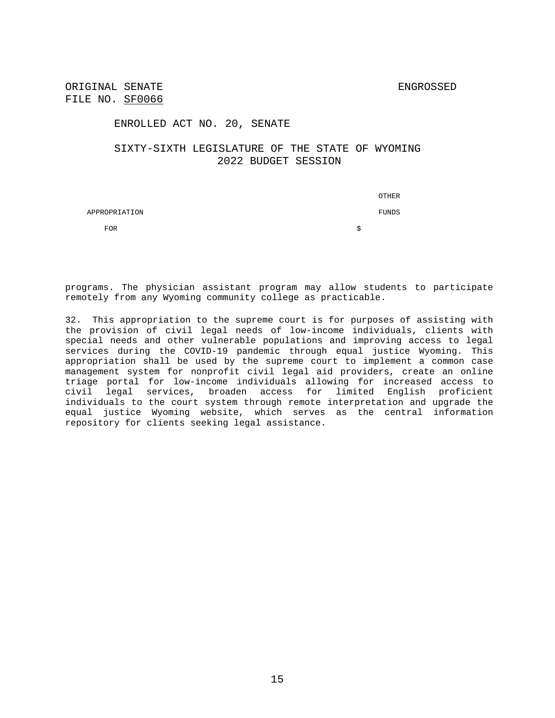#### ENROLLED ACT NO. 20, SENATE

### SIXTY-SIXTH LEGISLATURE OF THE STATE OF WYOMING 2022 BUDGET SESSION

 OTHER APPROPRIATION FUNDS  $\mathsf{FOR}$  by the set of the set of the set of the set of the set of the set of the set of the set of the set of the set of the set of the set of the set of the set of the set of the set of the set of the set of the set of

programs. The physician assistant program may allow students to participate remotely from any Wyoming community college as practicable.

32. This appropriation to the supreme court is for purposes of assisting with the provision of civil legal needs of low-income individuals, clients with special needs and other vulnerable populations and improving access to legal services during the COVID-19 pandemic through equal justice Wyoming. This appropriation shall be used by the supreme court to implement a common case management system for nonprofit civil legal aid providers, create an online triage portal for low-income individuals allowing for increased access to civil legal services, broaden access for limited English proficient individuals to the court system through remote interpretation and upgrade the equal justice Wyoming website, which serves as the central information repository for clients seeking legal assistance.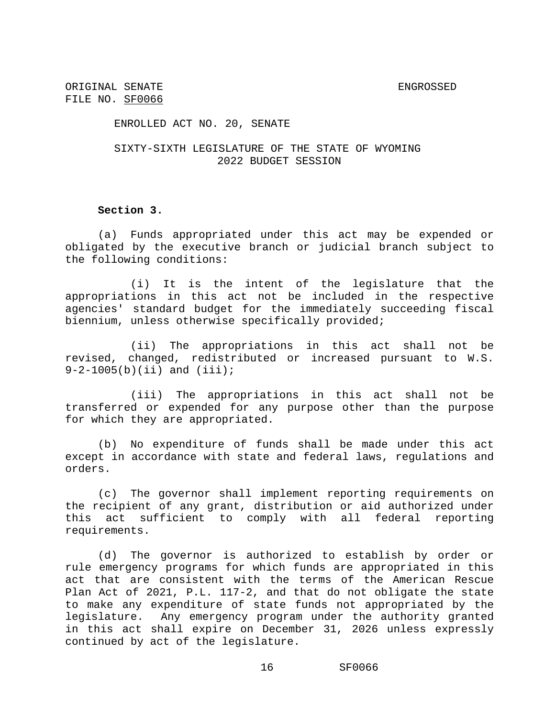ENROLLED ACT NO. 20, SENATE

SIXTY-SIXTH LEGISLATURE OF THE STATE OF WYOMING 2022 BUDGET SESSION

### **Section 3.**

(a) Funds appropriated under this act may be expended or obligated by the executive branch or judicial branch subject to the following conditions:

(i) It is the intent of the legislature that the appropriations in this act not be included in the respective agencies' standard budget for the immediately succeeding fiscal biennium, unless otherwise specifically provided;

(ii) The appropriations in this act shall not be revised, changed, redistributed or increased pursuant to W.S. 9-2-1005(b)(ii) and (iii);

(iii) The appropriations in this act shall not be transferred or expended for any purpose other than the purpose for which they are appropriated.

(b) No expenditure of funds shall be made under this act except in accordance with state and federal laws, regulations and orders.

(c) The governor shall implement reporting requirements on the recipient of any grant, distribution or aid authorized under this act sufficient to comply with all federal reporting requirements.

(d) The governor is authorized to establish by order or rule emergency programs for which funds are appropriated in this act that are consistent with the terms of the American Rescue Plan Act of 2021, P.L. 117-2, and that do not obligate the state to make any expenditure of state funds not appropriated by the legislature. Any emergency program under the authority granted in this act shall expire on December 31, 2026 unless expressly continued by act of the legislature.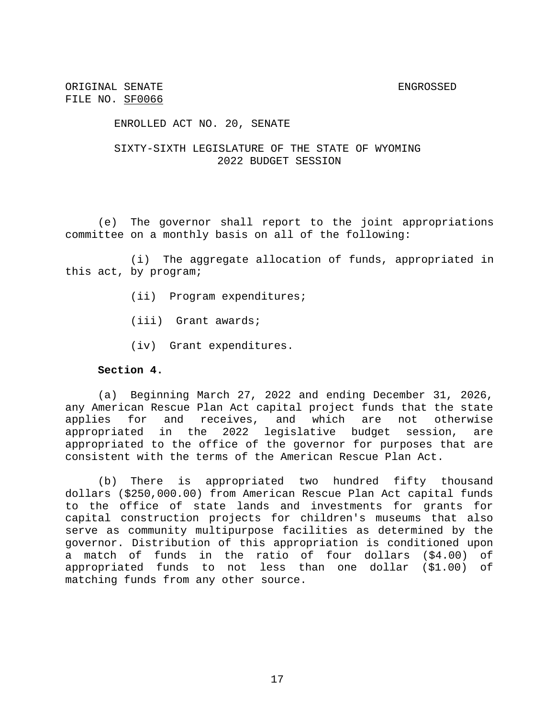#### ENROLLED ACT NO. 20, SENATE

# SIXTY-SIXTH LEGISLATURE OF THE STATE OF WYOMING 2022 BUDGET SESSION

(e) The governor shall report to the joint appropriations committee on a monthly basis on all of the following:

(i) The aggregate allocation of funds, appropriated in this act, by program;

- (ii) Program expenditures;
- (iii) Grant awards;
- (iv) Grant expenditures.

### **Section 4.**

(a) Beginning March 27, 2022 and ending December 31, 2026, any American Rescue Plan Act capital project funds that the state applies for and receives, and which are not otherwise appropriated in the 2022 legislative budget session, are appropriated to the office of the governor for purposes that are consistent with the terms of the American Rescue Plan Act.

(b) There is appropriated two hundred fifty thousand dollars (\$250,000.00) from American Rescue Plan Act capital funds to the office of state lands and investments for grants for capital construction projects for children's museums that also serve as community multipurpose facilities as determined by the governor. Distribution of this appropriation is conditioned upon a match of funds in the ratio of four dollars (\$4.00) of appropriated funds to not less than one dollar (\$1.00) of matching funds from any other source.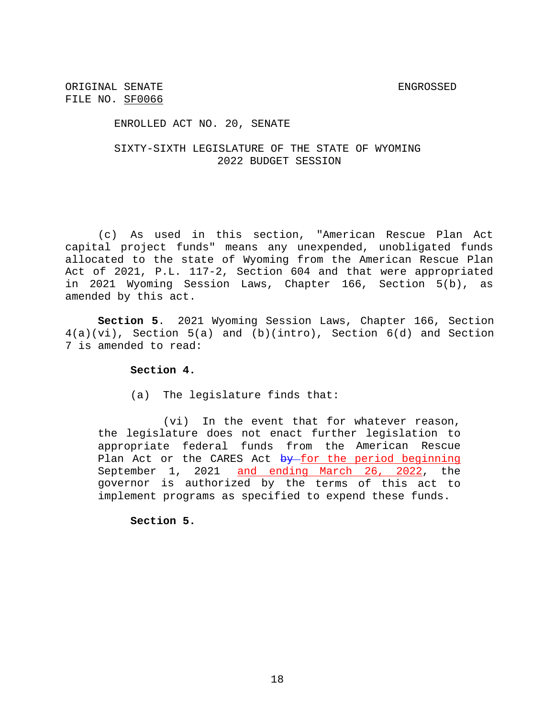ENROLLED ACT NO. 20, SENATE

### SIXTY-SIXTH LEGISLATURE OF THE STATE OF WYOMING 2022 BUDGET SESSION

(c) As used in this section, "American Rescue Plan Act capital project funds" means any unexpended, unobligated funds allocated to the state of Wyoming from the American Rescue Plan Act of 2021, P.L. 117-2, Section 604 and that were appropriated in 2021 Wyoming Session Laws, Chapter 166, Section 5(b), as amended by this act.

**Section 5**. 2021 Wyoming Session Laws, Chapter 166, Section 4(a)(vi), Section 5(a) and (b)(intro), Section 6(d) and Section 7 is amended to read:

### **Section 4.**

(a) The legislature finds that:

(vi) In the event that for whatever reason, the legislature does not enact further legislation to appropriate federal funds from the American Rescue Plan Act or the CARES Act by for the period beginning September 1, 2021 and ending March 26, 2022, the governor is authorized by the terms of this act to implement programs as specified to expend these funds.

**Section 5.**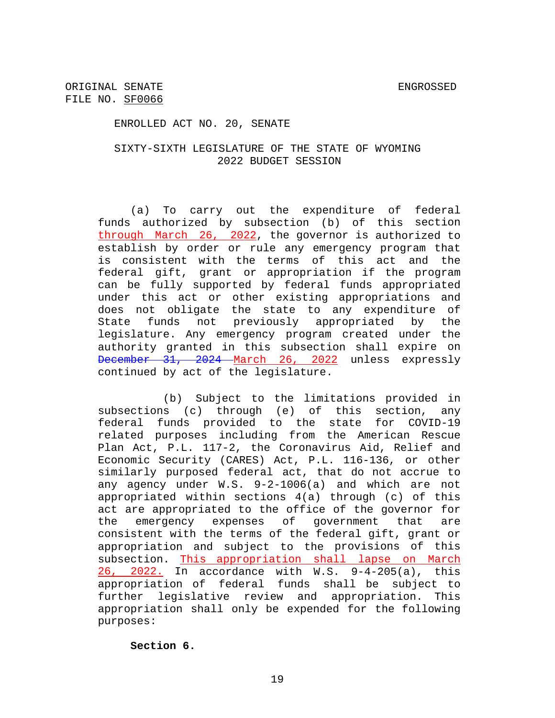ENROLLED ACT NO. 20, SENATE

### SIXTY-SIXTH LEGISLATURE OF THE STATE OF WYOMING 2022 BUDGET SESSION

(a) To carry out the expenditure of federal funds authorized by subsection (b) of this section through March 26, 2022, the governor is authorized to establish by order or rule any emergency program that is consistent with the terms of this act and the federal gift, grant or appropriation if the program can be fully supported by federal funds appropriated under this act or other existing appropriations and does not obligate the state to any expenditure of State funds not previously appropriated by the legislature. Any emergency program created under the authority granted in this subsection shall expire on December 31, 2024 March 26, 2022 unless expressly continued by act of the legislature.

(b) Subject to the limitations provided in subsections (c) through (e) of this section, any federal funds provided to the state for COVID-19 related purposes including from the American Rescue Plan Act, P.L. 117-2, the Coronavirus Aid, Relief and Economic Security (CARES) Act, P.L. 116-136, or other similarly purposed federal act, that do not accrue to any agency under W.S. 9-2-1006(a) and which are not appropriated within sections 4(a) through (c) of this act are appropriated to the office of the governor for the emergency expenses of government that are consistent with the terms of the federal gift, grant or appropriation and subject to the provisions of this subsection. This appropriation shall lapse on March 26, 2022. In accordance with W.S. 9-4-205(a), this appropriation of federal funds shall be subject to further legislative review and appropriation. This appropriation shall only be expended for the following purposes:

**Section 6.**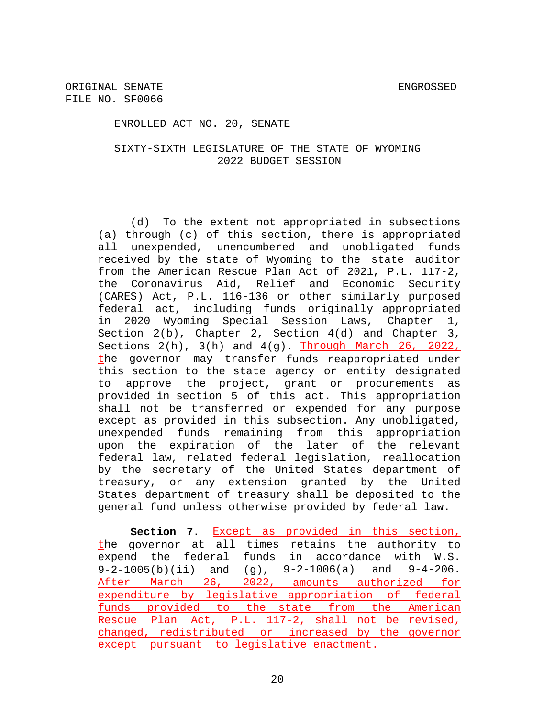ENROLLED ACT NO. 20, SENATE

### SIXTY-SIXTH LEGISLATURE OF THE STATE OF WYOMING 2022 BUDGET SESSION

(d) To the extent not appropriated in subsections (a) through (c) of this section, there is appropriated all unexpended, unencumbered and unobligated funds received by the state of Wyoming to the state auditor from the American Rescue Plan Act of 2021, P.L. 117-2, the Coronavirus Aid, Relief and Economic Security (CARES) Act, P.L. 116-136 or other similarly purposed federal act, including funds originally appropriated in 2020 Wyoming Special Session Laws, Chapter 1, Section 2(b), Chapter 2, Section 4(d) and Chapter 3, Sections  $2(h)$ ,  $3(h)$  and  $4(g)$ . Through March 26, 2022, the governor may transfer funds reappropriated under this section to the state agency or entity designated to approve the project, grant or procurements as provided in section 5 of this act. This appropriation shall not be transferred or expended for any purpose except as provided in this subsection. Any unobligated, unexpended funds remaining from this appropriation upon the expiration of the later of the relevant federal law, related federal legislation, reallocation by the secretary of the United States department of treasury, or any extension granted by the United States department of treasury shall be deposited to the general fund unless otherwise provided by federal law.

**Section 7.** Except as provided in this section, the governor at all times retains the authority to expend the federal funds in accordance with W.S. 9-2-1005(b)(ii) and (g), 9-2-1006(a) and 9-4-206. After March 26, 2022, amounts authorized for expenditure by legislative appropriation of federal funds provided to the state from the American Rescue Plan Act, P.L. 117-2, shall not be revised, changed, redistributed or increased by the governor except pursuant to legislative enactment.